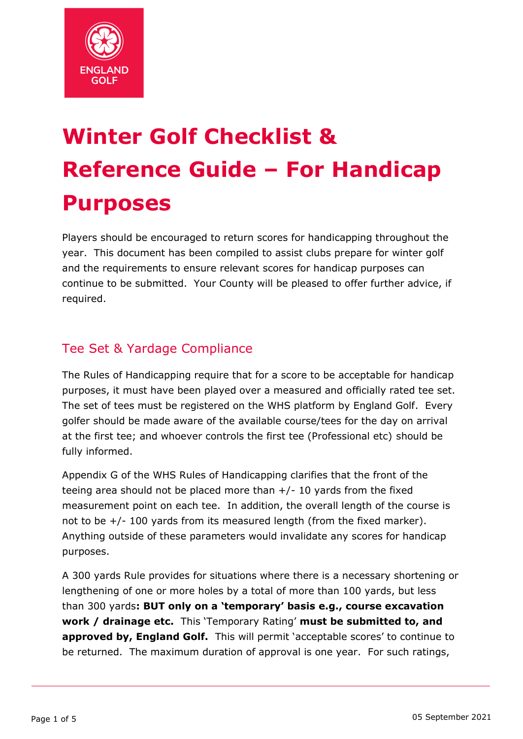

# **Winter Golf Checklist & Reference Guide – For Handicap Purposes**

Players should be encouraged to return scores for handicapping throughout the year. This document has been compiled to assist clubs prepare for winter golf and the requirements to ensure relevant scores for handicap purposes can continue to be submitted. Your County will be pleased to offer further advice, if required.

# Tee Set & Yardage Compliance

The Rules of Handicapping require that for a score to be acceptable for handicap purposes, it must have been played over a measured and officially rated tee set. The set of tees must be registered on the WHS platform by England Golf. Every golfer should be made aware of the available course/tees for the day on arrival at the first tee; and whoever controls the first tee (Professional etc) should be fully informed.

Appendix G of the WHS Rules of Handicapping clarifies that the front of the teeing area should not be placed more than  $+/- 10$  yards from the fixed measurement point on each tee. In addition, the overall length of the course is not to be +/- 100 yards from its measured length (from the fixed marker). Anything outside of these parameters would invalidate any scores for handicap purposes.

A 300 yards Rule provides for situations where there is a necessary shortening or lengthening of one or more holes by a total of more than 100 yards, but less than 300 yards**: BUT only on a 'temporary' basis e.g., course excavation work / drainage etc.** This 'Temporary Rating' **must be submitted to, and approved by, England Golf.** This will permit 'acceptable scores' to continue to be returned. The maximum duration of approval is one year. For such ratings,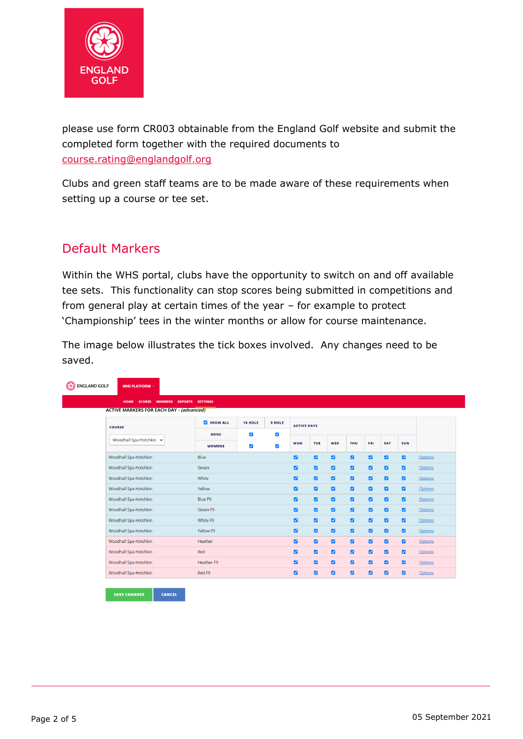

please use form CR003 obtainable from the England Golf website and submit the completed form together with the required documents to [course.rating@englandgolf.org](mailto:course.rating@englandgolf.org)

Clubs and green staff teams are to be made aware of these requirements when setting up a course or tee set.

## Default Markers

Within the WHS portal, clubs have the opportunity to switch on and off available tee sets. This functionality can stop scores being submitted in competitions and from general play at certain times of the year – for example to protect 'Championship' tees in the winter months or allow for course maintenance.

The image below illustrates the tick boxes involved. Any changes need to be saved.

|                                                 | <b>REPORTS</b><br><b>SETTINGS</b> |                                               |                                              |                              |                |                |                         |                |                |                |                |
|-------------------------------------------------|-----------------------------------|-----------------------------------------------|----------------------------------------------|------------------------------|----------------|----------------|-------------------------|----------------|----------------|----------------|----------------|
| <b>ACTIVE MARKERS FOR EACH DAY - (advanced)</b> |                                   |                                               |                                              |                              |                |                |                         |                |                |                |                |
| <b>COURSE</b>                                   | <b>Z</b> SHOW ALL                 | <b>18 HOLE</b>                                |                                              | 9 HOLE<br><b>ACTIVE DAYS</b> |                |                |                         |                |                |                |                |
| Woodhall Spa-Hotchkin v                         | <b>MENS</b><br><b>WOMENS</b>      | $\blacktriangleright$<br>$\blacktriangledown$ | $\blacktriangledown$<br>$\blacktriangledown$ |                              |                |                |                         |                |                |                |                |
|                                                 |                                   |                                               |                                              | <b>MON</b>                   | <b>TUE</b>     | WED            | <b>THU</b>              | FRI            | <b>SAT</b>     | <b>SUN</b>     |                |
| Woodhall Spa-Hotchkin                           | Blue                              |                                               |                                              | $\blacksquare$               | $\blacksquare$ | $\blacksquare$ | $\blacksquare$          | ø              | $\blacksquare$ | $\blacksquare$ | Options        |
| Woodhall Spa-Hotchkin                           | Green                             |                                               |                                              | $\blacksquare$               | $\blacksquare$ | $\blacksquare$ | $\blacksquare$          | $\blacksquare$ | ø              | $\blacksquare$ | <b>Options</b> |
| Woodhall Spa-Hotchkin                           | White                             |                                               |                                              | $\blacksquare$               | $\blacksquare$ | $\blacksquare$ | $\blacksquare$          | $\blacksquare$ | ø              | $\blacksquare$ | Options        |
| Woodhall Spa-Hotchkin                           | Yellow                            |                                               |                                              | $\blacksquare$               | $\blacksquare$ | $\blacksquare$ | $\blacksquare$          | $\blacksquare$ | ø              | $\blacksquare$ | Options        |
| Woodhall Spa-Hotchkin                           | Blue F9                           |                                               |                                              | $\blacksquare$               | $\blacksquare$ | $\blacksquare$ | $\blacksquare$          | ø              | ø              | $\blacksquare$ | Options        |
| Woodhall Spa-Hotchkin                           | Green F9                          |                                               |                                              | $\blacksquare$               | $\blacksquare$ | $\blacksquare$ | $\blacksquare$          | $\blacksquare$ | ø              | $\blacksquare$ | <b>Options</b> |
| Woodhall Spa-Hotchkin                           | White F9                          |                                               |                                              | $\blacksquare$               | $\blacksquare$ | $\blacksquare$ | $\blacksquare$          | $\blacksquare$ | ø              | $\blacksquare$ | Options        |
| Woodhall Spa-Hotchkin                           | Yellow F9                         |                                               |                                              | $\blacksquare$               | $\blacksquare$ | $\blacksquare$ | $\blacksquare$          | $\blacksquare$ | ø              | $\blacksquare$ | <b>Options</b> |
| Woodhall Spa-Hotchkin                           | Heather                           |                                               |                                              | $\blacksquare$               | $\blacksquare$ | $\blacksquare$ | $\blacksquare$          | $\blacksquare$ | ø              | $\blacksquare$ | <b>Options</b> |
| Woodhall Spa-Hotchkin                           | Red                               |                                               |                                              | $\blacksquare$               | $\blacksquare$ | $\blacksquare$ | $\overline{\mathbf{z}}$ | $\blacksquare$ | $\blacksquare$ | $\blacksquare$ | <b>Options</b> |
| Woodhall Spa-Hotchkin                           | Heather F9                        |                                               |                                              | $\blacksquare$               | $\blacksquare$ | $\blacksquare$ | $\blacksquare$          | $\blacksquare$ | ø              | $\blacksquare$ | Options        |
| Woodhall Spa-Hotchkin                           | Red F9                            |                                               |                                              | $\blacksquare$               | $\blacksquare$ | $\blacksquare$ | $\blacksquare$          | ø              | $\blacksquare$ | $\blacksquare$ | <b>Options</b> |

| <b>SAVE CHANGES</b> | <b>CANCEL</b> |
|---------------------|---------------|
|---------------------|---------------|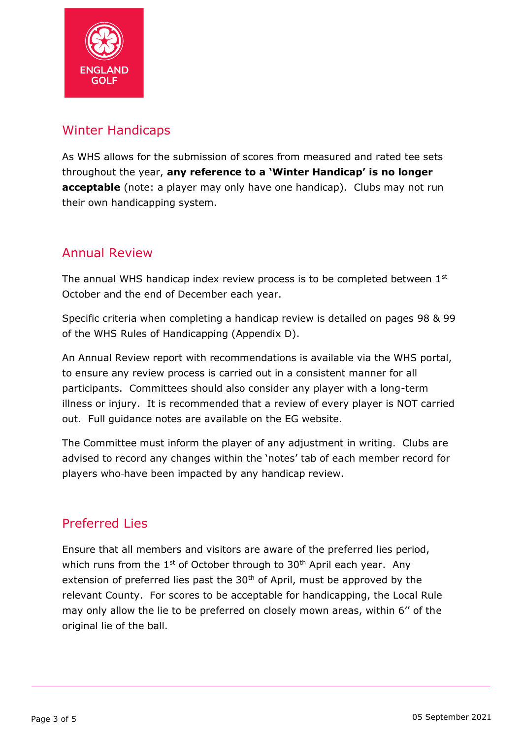

#### Winter Handicaps

As WHS allows for the submission of scores from measured and rated tee sets throughout the year, **any reference to a 'Winter Handicap' is no longer acceptable** (note: a player may only have one handicap). Clubs may not run their own handicapping system.

# Annual Review

The annual WHS handicap index review process is to be completed between 1<sup>st</sup> October and the end of December each year.

Specific criteria when completing a handicap review is detailed on pages 98 & 99 of the WHS Rules of Handicapping (Appendix D).

An Annual Review report with recommendations is available via the WHS portal, to ensure any review process is carried out in a consistent manner for all participants. Committees should also consider any player with a long-term illness or injury. It is recommended that a review of every player is NOT carried out. Full guidance notes are available on the EG website.

The Committee must inform the player of any adjustment in writing. Clubs are advised to record any changes within the 'notes' tab of each member record for players who-have been impacted by any handicap review.

## Preferred Lies

Ensure that all members and visitors are aware of the preferred lies period, which runs from the  $1<sup>st</sup>$  of October through to  $30<sup>th</sup>$  April each year. Any extension of preferred lies past the  $30<sup>th</sup>$  of April, must be approved by the relevant County. For scores to be acceptable for handicapping, the Local Rule may only allow the lie to be preferred on closely mown areas, within 6'' of the original lie of the ball.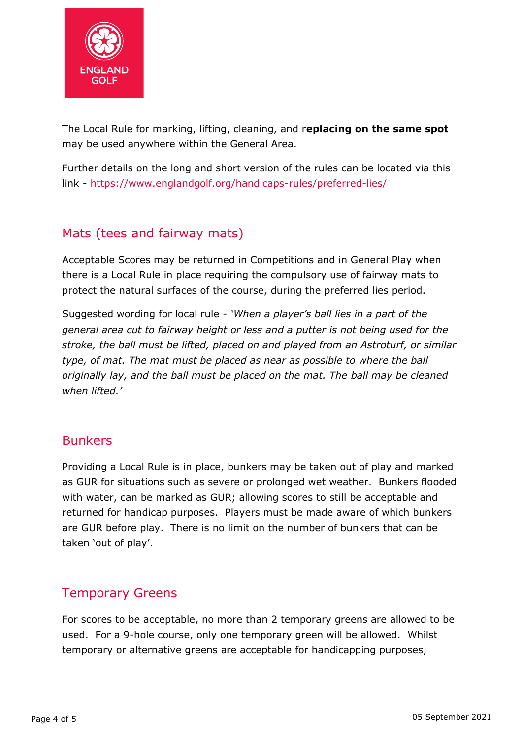

The Local Rule for marking, lifting, cleaning, and r**eplacing on the same spot**  may be used anywhere within the General Area.

Further details on the long and short version of the rules can be located via this link - <https://www.englandgolf.org/handicaps-rules/preferred-lies/>

# Mats (tees and fairway mats)

Acceptable Scores may be returned in Competitions and in General Play when there is a Local Rule in place requiring the compulsory use of fairway mats to protect the natural surfaces of the course, during the preferred lies period.

Suggested wording for local rule - *'When a player's ball lies in a part of the general area cut to fairway height or less and a putter is not being used for the stroke, the ball must be lifted, placed on and played from an Astroturf, or similar type, of mat. The mat must be placed as near as possible to where the ball originally lay, and the ball must be placed on the mat. The ball may be cleaned when lifted.'*

#### Bunkers

Providing a Local Rule is in place, bunkers may be taken out of play and marked as GUR for situations such as severe or prolonged wet weather. Bunkers flooded with water, can be marked as GUR; allowing scores to still be acceptable and returned for handicap purposes. Players must be made aware of which bunkers are GUR before play. There is no limit on the number of bunkers that can be taken 'out of play'.

#### Temporary Greens

For scores to be acceptable, no more than 2 temporary greens are allowed to be used. For a 9-hole course, only one temporary green will be allowed. Whilst temporary or alternative greens are acceptable for handicapping purposes,